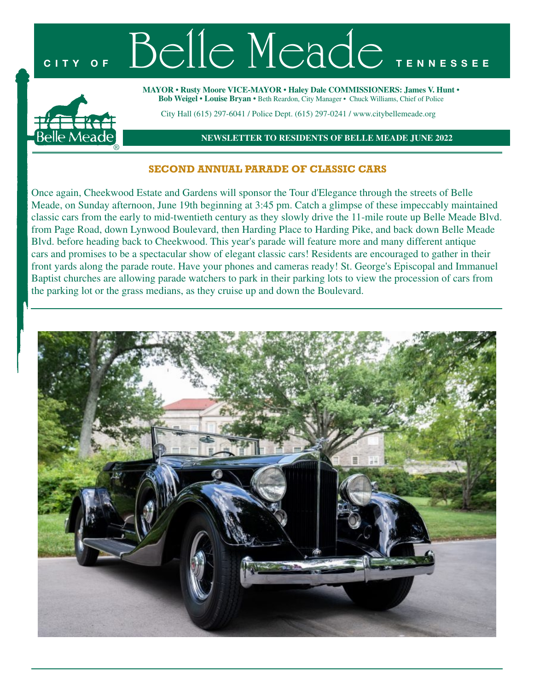

## **SECOND ANNUAL PARADE OF CLASSIC CARS**

Once again, Cheekwood Estate and Gardens will sponsor the Tour d'Elegance through the streets of Belle Meade, on Sunday afternoon, June 19th beginning at 3:45 pm. Catch a glimpse of these impeccably maintained classic cars from the early to mid-twentieth century as they slowly drive the 11-mile route up Belle Meade Blvd. from Page Road, down Lynwood Boulevard, then Harding Place to Harding Pike, and back down Belle Meade Blvd. before heading back to Cheekwood. This year's parade will feature more and many different antique cars and promises to be a spectacular show of elegant classic cars! Residents are encouraged to gather in their front yards along the parade route. Have your phones and cameras ready! St. George's Episcopal and Immanuel Baptist churches are allowing parade watchers to park in their parking lots to view the procession of cars from the parking lot or the grass medians, as they cruise up and down the Boulevard.

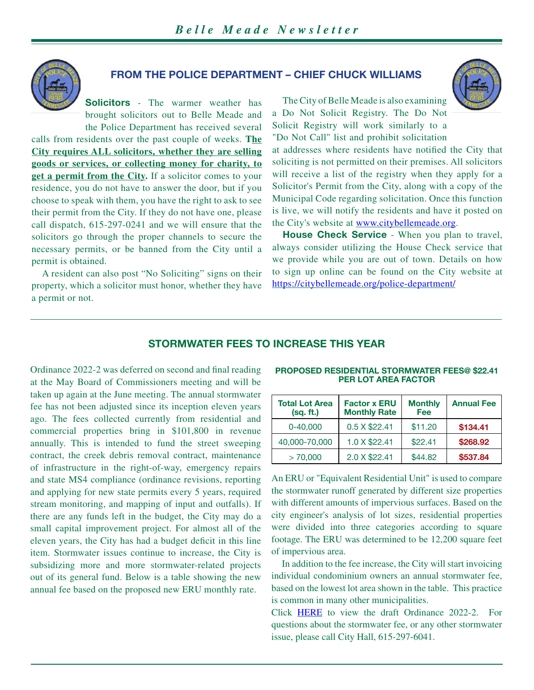

### **FROM THE POLICE DEPARTMENT – CHIEF CHUCK WILLIAMS**

**Solicitors** - The warmer weather has brought solicitors out to Belle Meade and the Police Department has received several

calls from residents over the past couple of weeks. **The City requires ALL solicitors, whether they are selling goods or services, or collecting money for charity, to get a permit from the City.** If a solicitor comes to your residence, you do not have to answer the door, but if you choose to speak with them, you have the right to ask to see their permit from the City. If they do not have one, please call dispatch, 615-297-0241 and we will ensure that the solicitors go through the proper channels to secure the necessary permits, or be banned from the City until a permit is obtained.

A resident can also post "No Soliciting" signs on their property, which a solicitor must honor, whether they have a permit or not.

The City of Belle Meade is also examining a Do Not Solicit Registry. The Do Not Solicit Registry will work similarly to a "Do Not Call" list and prohibit solicitation



at addresses where residents have notified the City that soliciting is not permitted on their premises. All solicitors will receive a list of the registry when they apply for a Solicitor's Permit from the City, along with a copy of the Municipal Code regarding solicitation. Once this function is live, we will notify the residents and have it posted on the City's website at [www.citybellemeade.org.](www.citybellemeade.org)

**House Check Service** - When you plan to travel, always consider utilizing the House Check service that we provide while you are out of town. Details on how to sign up online can be found on the City website at <https://citybellemeade.org/police-department/>

### **STORMWATER FEES TO INCREASE THIS YEAR**

Ordinance 2022-2 was deferred on second and final reading at the May Board of Commissioners meeting and will be taken up again at the June meeting. The annual stormwater fee has not been adjusted since its inception eleven years ago. The fees collected currently from residential and commercial properties bring in \$101,800 in revenue annually. This is intended to fund the street sweeping contract, the creek debris removal contract, maintenance of infrastructure in the right-of-way, emergency repairs and state MS4 compliance (ordinance revisions, reporting and applying for new state permits every 5 years, required stream monitoring, and mapping of input and outfalls). If there are any funds left in the budget, the City may do a small capital improvement project. For almost all of the eleven years, the City has had a budget deficit in this line item. Stormwater issues continue to increase, the City is subsidizing more and more stormwater-related projects out of its general fund. Below is a table showing the new annual fee based on the proposed new ERU monthly rate.

| <b>Total Lot Area</b><br>(sq. ft.) | <b>Factor x ERU</b><br><b>Monthly Rate</b> | <b>Monthly</b><br>Fee | <b>Annual Fee</b> |
|------------------------------------|--------------------------------------------|-----------------------|-------------------|
| $0 - 40,000$                       | 0.5 X \$22.41                              | \$11.20               | \$134.41          |
| 40,000-70,000                      | 1.0 X \$22.41                              | \$22.41               | \$268.92          |
| > 70.000                           | 2.0 X \$22.41                              | \$44.82               | \$537.84          |

**PROPOSED RESIDENTIAL STORMWATER FEES@ \$22.41 PER LOT AREA FACTOR**

An ERU or "Equivalent Residential Unit" is used to compare the stormwater runoff generated by different size properties with different amounts of impervious surfaces. Based on the city engineer's analysis of lot sizes, residential properties were divided into three categories according to square footage. The ERU was determined to be 12,200 square feet of impervious area.

In addition to the fee increase, the City will start invoicing individual condominium owners an annual stormwater fee, based on the lowest lot area shown in the table. This practice is common in many other municipalities.

Click [HERE](https://citybellemeade.org/wp-content/uploads/2022/06/Ordinance-2022-02-As-Amended.pdf) to view the draft Ordinance 2022-2. For questions about the stormwater fee, or any other stormwater issue, please call City Hall, 615-297-6041.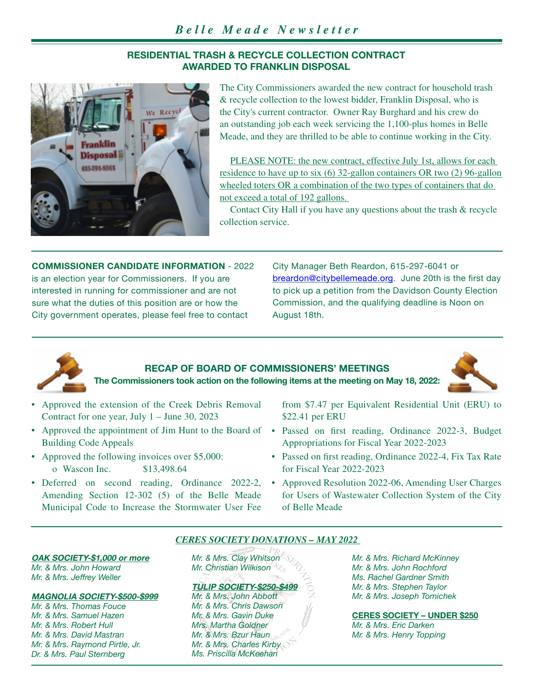### **RESIDENTIAL TRASH & RECYCLE COLLECTION CONTRACT AWARDED TO FRANKLIN DISPOSAL**



The City Commissioners awarded the new contract for household trash & recycle collection to the lowest bidder, Franklin Disposal, who is the City's current contractor. Owner Ray Burghard and his crew do an outstanding job each week servicing the 1,100-plus homes in Belle Meade, and they are thrilled to be able to continue working in the City.

PLEASE NOTE: the new contract, effective July 1st, allows for each residence to have up to six (6) 32-gallon containers OR two (2) 96-gallon wheeled toters OR a combination of the two types of containers that do not exceed a total of 192 gallons.

Contact City Hall if you have any questions about the trash & recycle collection service.

**COMMISSIONER CANDIDATE INFORMATION** - 2022 is an election year for Commissioners. If you are interested in running for commissioner and are not sure what the duties of this position are or how the City government operates, please feel free to contact

City Manager Beth Reardon, 615-297-6041 or [breardon@citybellemeade.org](mailto:breardon%40citybellemeade.org?subject=). June 20th is the first day to pick up a petition from the Davidson County Election Commission, and the qualifying deadline is Noon on August 18th.



# **RECAP OF BOARD OF COMMISSIONERS' MEETINGS**

**The Commissioners took action on the following items at the meeting on May 18, 2022:**

- Approved the extension of the Creek Debris Removal Contract for one year, July 1 – June 30, 2023
- Building Code Appeals
- Approved the following invoices over \$5,000: o Wascon Inc. \$13,498.64
- Amending Section 12-302 (5) of the Belle Meade Municipal Code to Increase the Stormwater User Fee

from \$7.47 per Equivalent Residential Unit (ERU) to \$22.41 per ERU

- Approved the appointment of Jim Hunt to the Board of Passed on first reading, Ordinance 2022-3, Budget Appropriations for Fiscal Year 2022-2023
	- Passed on first reading, Ordinance 2022-4, Fix Tax Rate for Fiscal Year 2022-2023
- Deferred on second reading, Ordinance 2022-2, Approved Resolution 2022-06, Amending User Charges for Users of Wastewater Collection System of the City of Belle Meade

### *CERES SOCIETY DONATIONS – MAY 2022*

# **OAK SOCIETY-\$1,000 or more**

*Mr. & Mrs. John Howard Mr. & Mrs. Jeffrey Weller*

#### **MAGNOLIA SOCIETY-\$500-\$999**

*Mr. & Mrs. Thomas Fouce Mr. & Mrs. Samuel Hazen Mr. & Mrs. Robert Hull Mr. & Mrs. David Mastran Mr. & Mrs. Raymond Pirtle, Jr. Dr. & Mrs. Paul Sternberg*

*Mr. & Mrs. Clay Whitson Mr. Christian Wilkison*

#### **TULIP SOCIETY-\$250-\$499**

*Mr. & Mrs. John Abbott Mr. & Mrs. Chris Dawson Mr. & Mrs. Gavin Duke Mrs. Martha Goldner Mr. & Mrs. Bzur Haun Mr. & Mrs. Charles Kirby Ms. Priscilla McKeehan*

*Mr. & Mrs. Richard McKinney Mr. & Mrs. John Rochford Ms. Rachel Gardner Smith Mr. & Mrs. Stephen Taylor Mr. & Mrs. Joseph Tomichek*

**CERES SOCIETY – UNDER \$250** *Mr. & Mrs. Eric Darken Mr. & Mrs. Henry Topping*